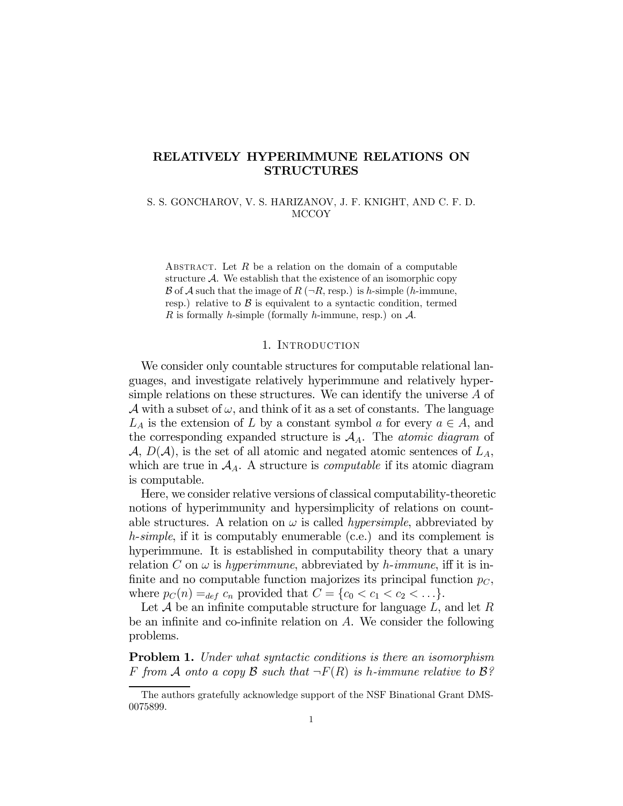# RELATIVELY HYPERIMMUNE RELATIONS ON STRUCTURES

S. S. GONCHAROV, V. S. HARIZANOV, J. F. KNIGHT, AND C. F. D. MCCOY

ABSTRACT. Let  $R$  be a relation on the domain of a computable structure  $A$ . We establish that the existence of an isomorphic copy B of A such that the image of R ( $\neg R$ , resp.) is h-simple (h-immune, resp.) relative to  $\beta$  is equivalent to a syntactic condition, termed R is formally h-simple (formally h-immune, resp.) on  $\mathcal{A}$ .

## 1. Introduction

We consider only countable structures for computable relational languages, and investigate relatively hyperimmune and relatively hypersimple relations on these structures. We can identify the universe A of A with a subset of  $\omega$ , and think of it as a set of constants. The language  $L_A$  is the extension of L by a constant symbol a for every  $a \in A$ , and the corresponding expanded structure is  $A_A$ . The *atomic diagram* of  $\mathcal{A}, D(\mathcal{A}),$  is the set of all atomic and negated atomic sentences of  $L_A$ , which are true in  $A_A$ . A structure is *computable* if its atomic diagram is computable.

Here, we consider relative versions of classical computability-theoretic notions of hyperimmunity and hypersimplicity of relations on countable structures. A relation on  $\omega$  is called *hypersimple*, abbreviated by h-simple, if it is computably enumerable (c.e.) and its complement is hyperimmune. It is established in computability theory that a unary relation C on  $\omega$  is hyperimmune, abbreviated by h-immune, iff it is infinite and no computable function majorizes its principal function  $p<sub>C</sub>$ , where  $p_C(n) =_{def} c_n$  provided that  $C = \{c_0 < c_1 < c_2 < \ldots\}$ .

Let  $\mathcal A$  be an infinite computable structure for language  $L$ , and let  $R$ be an infinite and co-infinite relation on A. We consider the following problems.

**Problem 1.** Under what syntactic conditions is there an isomorphism F from A onto a copy B such that  $\neg F(R)$  is h-immune relative to B?

The authors gratefully acknowledge support of the NSF Binational Grant DMS-0075899.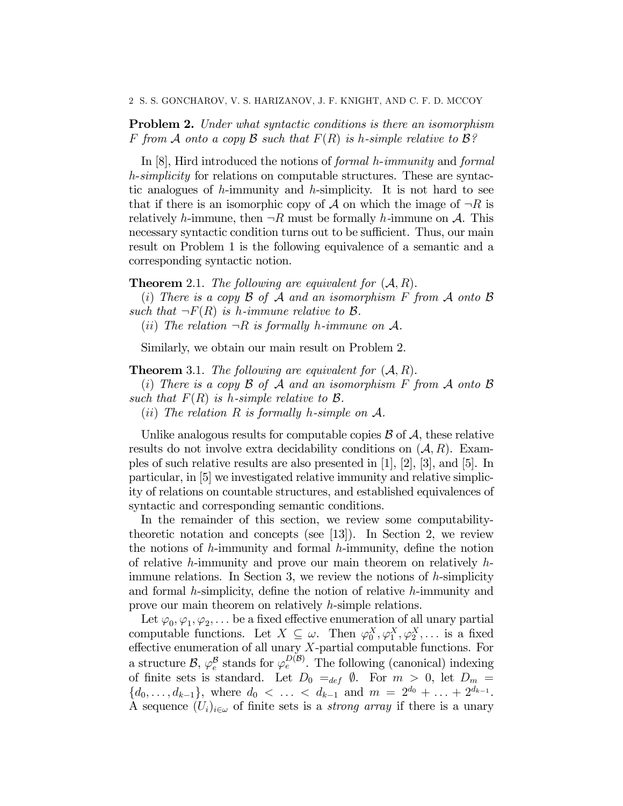Problem 2. Under what syntactic conditions is there an isomorphism F from A onto a copy B such that  $F(R)$  is h-simple relative to  $\mathcal{B}$ ?

In [8], Hird introduced the notions of formal h-immunity and formal h-simplicity for relations on computable structures. These are syntactic analogues of h-immunity and h-simplicity. It is not hard to see that if there is an isomorphic copy of A on which the image of  $\neg R$  is relatively h-immune, then  $\neg R$  must be formally h-immune on A. This necessary syntactic condition turns out to be sufficient. Thus, our main result on Problem 1 is the following equivalence of a semantic and a corresponding syntactic notion.

**Theorem** 2.1. The following are equivalent for  $(A, R)$ .

(i) There is a copy  $\beta$  of  $\mathcal A$  and an isomorphism  $F$  from  $\mathcal A$  onto  $\mathcal B$ such that  $\neg F(R)$  is h-immune relative to B.

(*ii*) The relation  $\neg R$  is formally h-immune on A.

Similarly, we obtain our main result on Problem 2.

**Theorem** 3.1. The following are equivalent for  $(A, R)$ .

(i) There is a copy  $\beta$  of  $\mathcal A$  and an isomorphism F from  $\mathcal A$  onto  $\mathcal B$ such that  $F(R)$  is h-simple relative to  $\mathcal{B}$ .

(*ii*) The relation R is formally h-simple on  $A$ .

Unlike analogous results for computable copies  $\beta$  of  $\mathcal{A}$ , these relative results do not involve extra decidability conditions on  $(A, R)$ . Examples of such relative results are also presented in [1], [2], [3], and [5]. In particular, in [5] we investigated relative immunity and relative simplicity of relations on countable structures, and established equivalences of syntactic and corresponding semantic conditions.

In the remainder of this section, we review some computabilitytheoretic notation and concepts (see [13]). In Section 2, we review the notions of  $h$ -immunity and formal  $h$ -immunity, define the notion of relative h-immunity and prove our main theorem on relatively  $h$ immune relations. In Section 3, we review the notions of h-simplicity and formal h-simplicity, define the notion of relative h-immunity and prove our main theorem on relatively h-simple relations.

Let  $\varphi_0, \varphi_1, \varphi_2, \ldots$  be a fixed effective enumeration of all unary partial computable functions. Let  $X \subseteq \omega$ . Then  $\varphi_0^X, \varphi_1^X, \varphi_2^X, \dots$  is a fixed effective enumeration of all unary  $X$ -partial computable functions. For a structure  $\mathcal{B}, \varphi_e^{\mathcal{B}}$  stands for  $\varphi_e^{D(\mathcal{B})}$ . The following (canonical) indexing of finite sets is standard. Let  $D_0 =_{def} \emptyset$ . For  $m > 0$ , let  $D_m =$  $\{d_0,\ldots,d_{k-1}\},\$  where  $d_0 < \ldots < d_{k-1}$  and  $m = 2^{d_0} + \ldots + 2^{d_{k-1}}.$ A sequence  $(U_i)_{i\in\omega}$  of finite sets is a *strong array* if there is a unary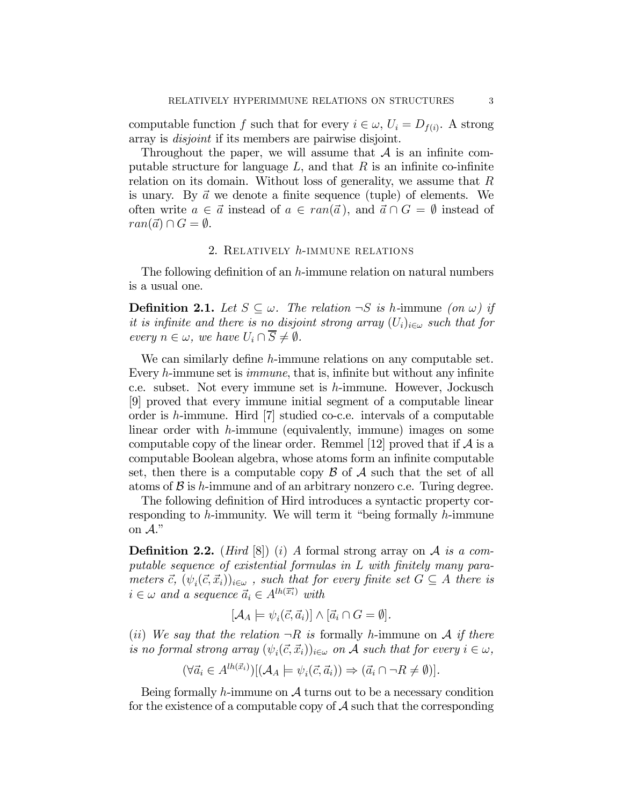computable function f such that for every  $i \in \omega$ ,  $U_i = D_{f(i)}$ . A strong array is disjoint if its members are pairwise disjoint.

Throughout the paper, we will assume that  $A$  is an infinite computable structure for language  $L$ , and that  $R$  is an infinite co-infinite relation on its domain. Without loss of generality, we assume that  $R$ is unary. By  $\vec{a}$  we denote a finite sequence (tuple) of elements. We often write  $a \in \vec{a}$  instead of  $a \in ran(\vec{a})$ , and  $\vec{a} \cap G = \emptyset$  instead of  $ran(\vec{a}) \cap G = \emptyset.$ 

# 2. Relatively h-immune relations

The following definition of an h-immune relation on natural numbers is a usual one.

**Definition 2.1.** Let  $S \subseteq \omega$ . The relation  $\neg S$  is h-immune (on  $\omega$ ) if it is infinite and there is no disjoint strong array  $(U_i)_{i\in\omega}$  such that for every  $n \in \omega$ , we have  $U_i \cap \overline{S} \neq \emptyset$ .

We can similarly define h-immune relations on any computable set. Every h-immune set is immune, that is, infinite but without any infinite c.e. subset. Not every immune set is h-immune. However, Jockusch [9] proved that every immune initial segment of a computable linear order is h-immune. Hird [7] studied co-c.e. intervals of a computable linear order with h-immune (equivalently, immune) images on some computable copy of the linear order. Remmel [12] proved that if  $A$  is a computable Boolean algebra, whose atoms form an infinite computable set, then there is a computable copy  $\beta$  of  $\mathcal A$  such that the set of all atoms of  $\beta$  is h-immune and of an arbitrary nonzero c.e. Turing degree.

The following definition of Hird introduces a syntactic property corresponding to h-immunity. We will term it "being formally h-immune on A."

**Definition 2.2.** (*Hird* [8]) (*i*) A formal strong array on A is a computable sequence of existential formulas in L with finitely many parameters  $\vec{c}$ ,  $(\psi_i(\vec{c}, \vec{x}_i))_{i \in \omega}$ , such that for every finite set  $G \subseteq A$  there is  $i \in \omega$  and a sequence  $\vec{a}_i \in A^{lh(\vec{x}_i)}$  with

$$
[\mathcal{A}_A \models \psi_i(\vec{c}, \vec{a}_i)] \wedge [\vec{a}_i \cap G = \emptyset].
$$

(ii) We say that the relation  $\neg R$  is formally h-immune on A if there is no formal strong array  $(\psi_i(\vec{c}, \vec{x}_i))_{i \in \omega}$  on A such that for every  $i \in \omega$ ,

$$
(\forall \vec{a}_i \in A^{lh(\vec{x}_i)})[(\mathcal{A}_A \models \psi_i(\vec{c}, \vec{a}_i)) \Rightarrow (\vec{a}_i \cap \neg R \neq \emptyset)].
$$

Being formally h-immune on  $\mathcal A$  turns out to be a necessary condition for the existence of a computable copy of  $\mathcal A$  such that the corresponding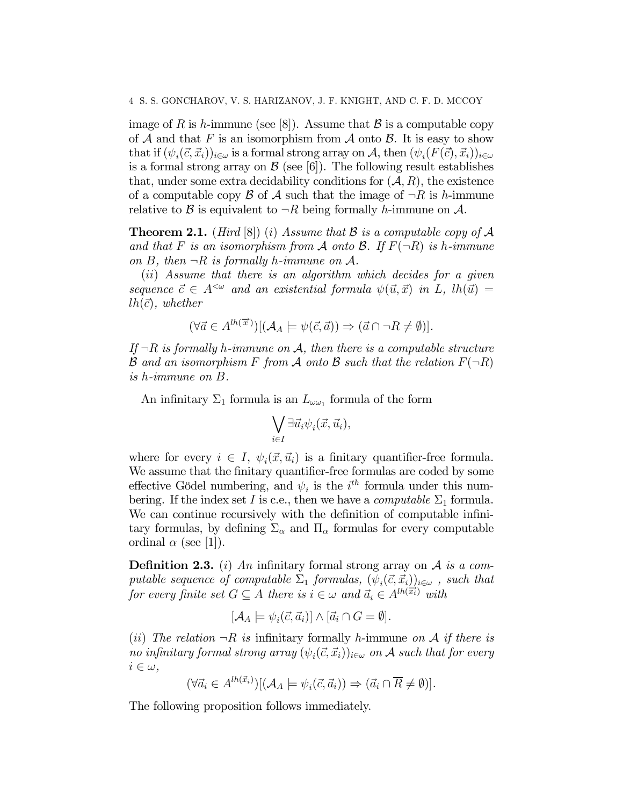image of R is h-immune (see [8]). Assume that B is a computable copy of  $A$  and that F is an isomorphism from  $A$  onto  $B$ . It is easy to show that if  $(\psi_i(\vec{c}, \vec{x}_i))_{i \in \omega}$  is a formal strong array on A, then  $(\psi_i(F(\vec{c}), \vec{x}_i))_{i \in \omega}$ is a formal strong array on  $\mathcal{B}$  (see [6]). The following result establishes that, under some extra decidability conditions for  $(A, R)$ , the existence of a computable copy  $\beta$  of  $\mathcal A$  such that the image of  $\neg R$  is h-immune relative to B is equivalent to  $\neg R$  being formally h-immune on A.

**Theorem 2.1.** (Hird  $[8]$ ) (i) Assume that B is a computable copy of A and that F is an isomorphism from A onto B. If  $F(\neg R)$  is h-immune on B, then  $\neg R$  is formally h-immune on A.

(ii) Assume that there is an algorithm which decides for a given sequence  $\vec{c} \in A^{\leq \omega}$  and an existential formula  $\psi(\vec{u}, \vec{x})$  in L,  $lh(\vec{u}) =$  $lh(\vec{c})$ , whether

$$
(\forall \vec{a} \in A^{lh(\vec{x})})[(\mathcal{A}_A \models \psi(\vec{c}, \vec{a})) \Rightarrow (\vec{a} \cap \neg R \neq \emptyset)].
$$

If  $\neg R$  is formally h-immune on A, then there is a computable structure **B** and an isomorphism F from A onto B such that the relation  $F(\neg R)$ is h-immune on B.

An infinitary  $\Sigma_1$  formula is an  $L_{\omega_{\alpha_1}}$  formula of the form

$$
\bigvee_{i\in I}\exists\vec{u}_i\psi_i(\vec{x},\vec{u}_i),
$$

where for every  $i \in I$ ,  $\psi_i(\vec{x}, \vec{u}_i)$  is a finitary quantifier-free formula. We assume that the finitary quantifier-free formulas are coded by some effective Gödel numbering, and  $\psi_i$  is the  $i^{th}$  formula under this numbering. If the index set I is c.e., then we have a *computable*  $\Sigma_1$  formula. We can continue recursively with the definition of computable infinitary formulas, by defining  $\Sigma_{\alpha}$  and  $\Pi_{\alpha}$  formulas for every computable ordinal  $\alpha$  (see [1]).

**Definition 2.3.** (i) An infinitary formal strong array on  $A$  is a computable sequence of computable  $\Sigma_1$  formulas,  $(\psi_i(\vec{c}, \vec{x}_i))_{i \in \omega}$ , such that for every finite set  $G \subseteq A$  there is  $i \in \omega$  and  $\vec{a}_i \in A^{lh(\overline{x_i})}$  with

$$
[\mathcal{A}_A \models \psi_i(\vec{c}, \vec{a}_i)] \wedge [\vec{a}_i \cap G = \emptyset].
$$

(ii) The relation  $\neg R$  is infinitary formally h-immune on A if there is no infinitary formal strong array  $(\psi_i(\vec{c}, \vec{x}_i))_{i \in \omega}$  on A such that for every  $i \in \omega$ ,

$$
(\forall \vec{a}_i \in A^{lh(\vec{x}_i)})[(\mathcal{A}_A \models \psi_i(\vec{c}, \vec{a}_i)) \Rightarrow (\vec{a}_i \cap \overline{R} \neq \emptyset)].
$$

The following proposition follows immediately.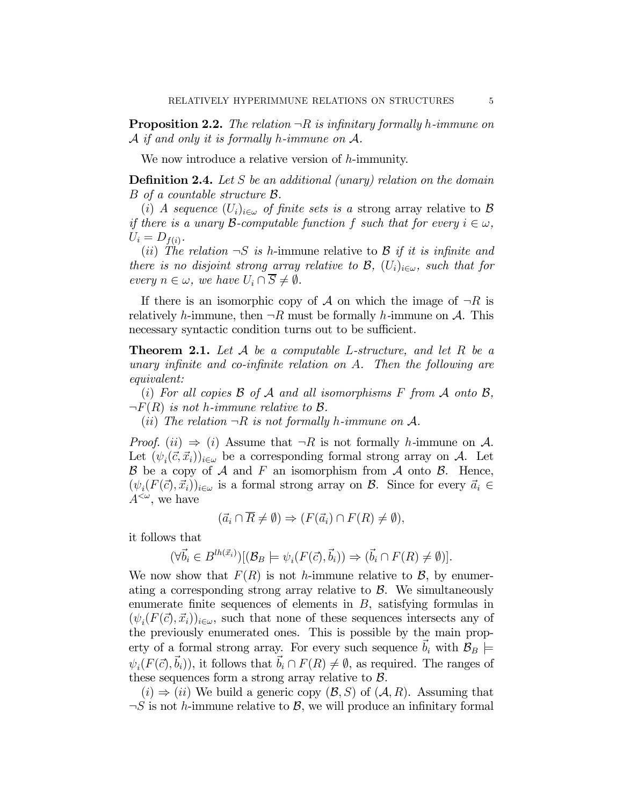**Proposition 2.2.** The relation  $\neg R$  is infinitary formally h-immune on  $\mathcal A$  if and only it is formally h-immune on  $\mathcal A$ .

We now introduce a relative version of h-immunity.

**Definition 2.4.** Let S be an additional (unary) relation on the domain B of a countable structure B.

(i) A sequence  $(U_i)_{i\in\omega}$  of finite sets is a strong array relative to B if there is a unary B-computable function f such that for every  $i \in \omega$ ,  $U_i = D_{f(i)}$ .

(ii) The relation  $\neg S$  is h-immune relative to B if it is infinite and there is no disjoint strong array relative to  $\mathcal{B}$ ,  $(U_i)_{i \in \omega}$ , such that for every  $n \in \omega$ , we have  $U_i \cap \overline{S} \neq \emptyset$ .

If there is an isomorphic copy of  $A$  on which the image of  $\neg R$  is relatively h-immune, then  $\neg R$  must be formally h-immune on A. This necessary syntactic condition turns out to be sufficient.

**Theorem 2.1.** Let  $A$  be a computable L-structure, and let  $R$  be a unary infinite and co-infinite relation on A. Then the following are equivalent:

(i) For all copies  $\beta$  of  $\mathcal A$  and all isomorphisms F from  $\mathcal A$  onto  $\mathcal B$ ,  $\neg F(R)$  is not h-immune relative to B.

(*ii*) The relation  $\neg R$  is not formally h-immune on A.

*Proof.* (ii)  $\Rightarrow$  (i) Assume that  $\neg R$  is not formally h-immune on A. Let  $(\psi_i(\vec{c}, \vec{x}_i))_{i \in \omega}$  be a corresponding formal strong array on A. Let  $\mathcal B$  be a copy of  $\mathcal A$  and  $F$  an isomorphism from  $\mathcal A$  onto  $\mathcal B$ . Hence,  $(\psi_i(F(\vec{c}), \vec{x}_i))_{i \in \omega}$  is a formal strong array on B. Since for every  $\vec{a}_i \in$  $A^{\lt \omega}$ , we have

$$
(\vec{a}_i \cap \overline{R} \neq \emptyset) \Rightarrow (F(\vec{a}_i) \cap F(R) \neq \emptyset),
$$

it follows that

$$
(\forall \vec{b}_i \in B^{lh(\vec{x}_i)})[(\mathcal{B}_B \models \psi_i(F(\vec{c}), \vec{b}_i)) \Rightarrow (\vec{b}_i \cap F(R) \neq \emptyset)].
$$

We now show that  $F(R)$  is not h-immune relative to B, by enumerating a corresponding strong array relative to  $\beta$ . We simultaneously enumerate finite sequences of elements in  $B$ , satisfying formulas in  $(\psi_i(F(\vec{c}), \vec{x}_i))_{i \in \omega}$ , such that none of these sequences intersects any of the previously enumerated ones. This is possible by the main property of a formal strong array. For every such sequence  $\vec{b}_i$  with  $\mathcal{B}_B$   $\models$  $\psi_i(F(\vec{c}), \vec{b}_i)$ , it follows that  $\vec{b}_i \cap F(R) \neq \emptyset$ , as required. The ranges of these sequences form a strong array relative to  $\beta$ .

 $(i) \Rightarrow (ii)$  We build a generic copy  $(\mathcal{B}, S)$  of  $(\mathcal{A}, R)$ . Assuming that  $\neg S$  is not h-immune relative to  $\mathcal{B}$ , we will produce an infinitary formal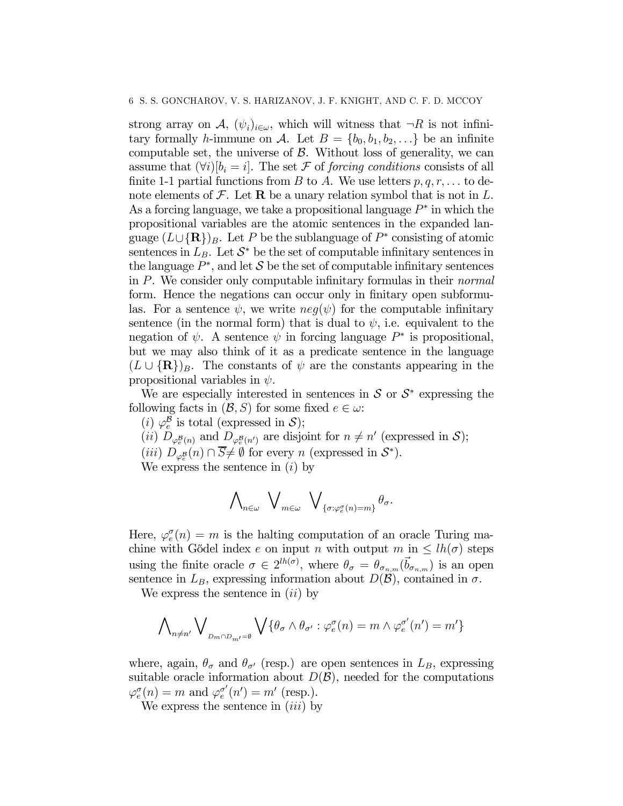strong array on A,  $(\psi_i)_{i \in \omega}$ , which will witness that  $\neg R$  is not infinitary formally h-immune on A. Let  $B = \{b_0, b_1, b_2, \ldots\}$  be an infinite computable set, the universe of  $\beta$ . Without loss of generality, we can assume that  $(\forall i)[b_i = i]$ . The set F of forcing conditions consists of all finite 1-1 partial functions from B to A. We use letters  $p, q, r, \ldots$  to denote elements of  $\mathcal F$ . Let **R** be a unary relation symbol that is not in L. As a forcing language, we take a propositional language  $P^*$  in which the propositional variables are the atomic sentences in the expanded language  $(L\cup{\bf R})_B$ . Let P be the sublanguage of P<sup>∗</sup> consisting of atomic sentences in  $L_B$ . Let  $S^*$  be the set of computable infinitary sentences in the language  $P^*$ , and let S be the set of computable infinitary sentences in P. We consider only computable infinitary formulas in their normal form. Hence the negations can occur only in finitary open subformulas. For a sentence  $\psi$ , we write  $neg(\psi)$  for the computable infinitary sentence (in the normal form) that is dual to  $\psi$ , i.e. equivalent to the negation of  $\psi$ . A sentence  $\psi$  in forcing language  $P^*$  is propositional, but we may also think of it as a predicate sentence in the language  $(L \cup {\bf R})_B$ . The constants of  $\psi$  are the constants appearing in the propositional variables in  $\psi$ .

We are especially interested in sentences in  $S$  or  $S^*$  expressing the following facts in  $(\mathcal{B}, S)$  for some fixed  $e \in \omega$ :

(i)  $\varphi_e^{\mathcal{B}}$  is total (expressed in S);

(*ii*)  $D_{\varphi_e^{\mathcal{B}}(n)}$  and  $D_{\varphi_e^{\mathcal{B}}(n')}$  are disjoint for  $n \neq n'$  (expressed in  $\mathcal{S}$ );

(*iii*)  $D_{\varphi_e^{\mathcal{B}}}(n) \cap \overline{S} \neq \emptyset$  for every n (expressed in  $\mathcal{S}^*$ ).

We express the sentence in  $(i)$  by

$$
\bigwedge\nolimits_{n\in\omega}\ \bigvee\nolimits_{m\in\omega}\ \bigvee\nolimits_{\{\sigma: \varphi^{\sigma}_{e}(n)=m\}}\theta_{\sigma}.
$$

Here,  $\varphi_e^{\sigma}(n) = m$  is the halting computation of an oracle Turing machine with Gödel index e on input n with output  $m$  in  $\leq lh(\sigma)$  steps using the finite oracle  $\sigma \in 2^{lh(\sigma)}$ , where  $\theta_{\sigma} = \theta_{\sigma_{n,m}}(\vec{b}_{\sigma_{n,m}})$  is an open sentence in  $L_B$ , expressing information about  $D(\mathcal{B})$ , contained in  $\sigma$ .

We express the sentence in  $(ii)$  by

$$
\bigwedge\nolimits_{n\neq n'}\bigvee\nolimits_{_{D_{m}\cap D_{m'}=\emptyset}}\bigvee\{\theta_{\sigma}\wedge\theta_{\sigma'}: \varphi^{\sigma}_{e}(n)=m\wedge\varphi^{\sigma'}_{e}(n')=m'\}
$$

where, again,  $\theta_{\sigma}$  and  $\theta_{\sigma'}$  (resp.) are open sentences in  $L_B$ , expressing suitable oracle information about  $D(\mathcal{B})$ , needed for the computations  $\varphi_e^{\sigma}(n) = m$  and  $\varphi_e^{\sigma'}(n') = m'$  (resp.).

We express the sentence in  $(iii)$  by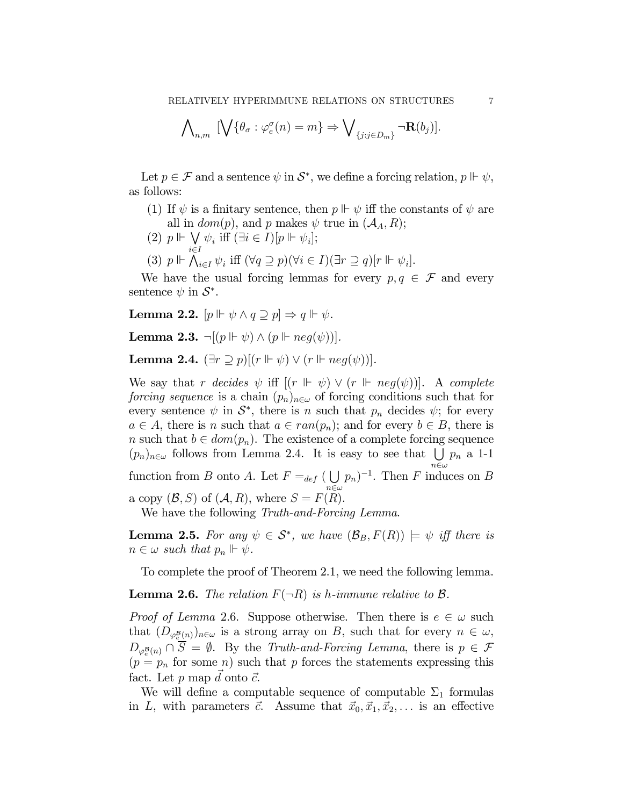$$
\bigwedge\nolimits_{n,m} \ [\bigvee\{\theta_{\sigma} : \varphi_e^{\sigma}(n) = m\} \Rightarrow \bigvee\nolimits_{\{j:j\in D_m\}} \neg \mathbf{R}(b_j)].
$$

Let  $p \in \mathcal{F}$  and a sentence  $\psi$  in  $\mathcal{S}^*$ , we define a forcing relation,  $p \Vdash \psi$ , as follows:

- (1) If  $\psi$  is a finitary sentence, then  $p \Vdash \psi$  iff the constants of  $\psi$  are all in  $dom(p)$ , and p makes  $\psi$  true in  $(\mathcal{A}_A, R)$ ;
- (2)  $p \Vdash \bigvee$  $\psi_i$  iff  $(\exists i \in I)[p \Vdash \psi_i];$
- i∈I (3)  $p \Vdash \bigwedge_{i \in I} \psi_i$  iff  $(\forall q \supseteq p)(\forall i \in I)(\exists r \supseteq q)[r \Vdash \psi_i].$

We have the usual forcing lemmas for every  $p, q \in \mathcal{F}$  and every sentence  $\psi$  in  $\mathcal{S}^*$ .

Lemma 2.2.  $[p \Vdash \psi \land q \supset p] \Rightarrow q \Vdash \psi$ .

Lemma 2.3.  $\neg[(p \Vdash \psi) \wedge (p \Vdash neg(\psi))].$ 

Lemma 2.4.  $(\exists r \supseteq p)[(r \Vdash \psi) \vee (r \Vdash neg(\psi))].$ 

We say that r decides  $\psi$  iff  $[(r \Vdash \psi) \vee (r \Vdash neg(\psi))]$ . A complete *forcing sequence* is a chain  $(p_n)_{n\in\omega}$  of forcing conditions such that for every sentence  $\psi$  in  $\mathcal{S}^*$ , there is n such that  $p_n$  decides  $\psi$ ; for every  $a \in A$ , there is n such that  $a \in ran(p_n)$ ; and for every  $b \in B$ , there is n such that  $b \in dom(p_n)$ . The existence of a complete forcing sequence  $(p_n)_{n \in \omega}$  follows from Lemma 2.4. It is easy to see that  $\bigcup p_n$  a 1-1  $n\in\omega$ function from B onto A. Let  $F =_{def} (\bigcup$  $n \in \omega$  $(p_n)^{-1}$ . Then F induces on B a copy  $(\mathcal{B}, S)$  of  $(\mathcal{A}, R)$ , where  $S = F(R)$ . We have the following *Truth-and-Forcing Lemma*.

**Lemma 2.5.** For any  $\psi \in S^*$ , we have  $(\mathcal{B}_B, F(R)) \models \psi$  iff there is  $n \in \omega$  such that  $p_n \Vdash \psi$ .

To complete the proof of Theorem 2.1, we need the following lemma.

**Lemma 2.6.** The relation  $F(\neg R)$  is h-immune relative to  $\beta$ .

*Proof of Lemma* 2.6. Suppose otherwise. Then there is  $e \in \omega$  such that  $(D_{\varphi_{\underline{e}}^{\underline{B}}(n)})_{n\in\omega}$  is a strong array on B, such that for every  $n \in \omega$ ,  $D_{\varphi_e^{\mathcal{B}}(n)} \cap S = \emptyset$ . By the Truth-and-Forcing Lemma, there is  $p \in \mathcal{F}$  $(p = p_n$  for some n) such that p forces the statements expressing this fact. Let  $p$  map  $\vec{d}$  onto  $\vec{c}$ .

We will define a computable sequence of computable  $\Sigma_1$  formulas in L, with parameters  $\vec{c}$ . Assume that  $\vec{x}_0, \vec{x}_1, \vec{x}_2, \ldots$  is an effective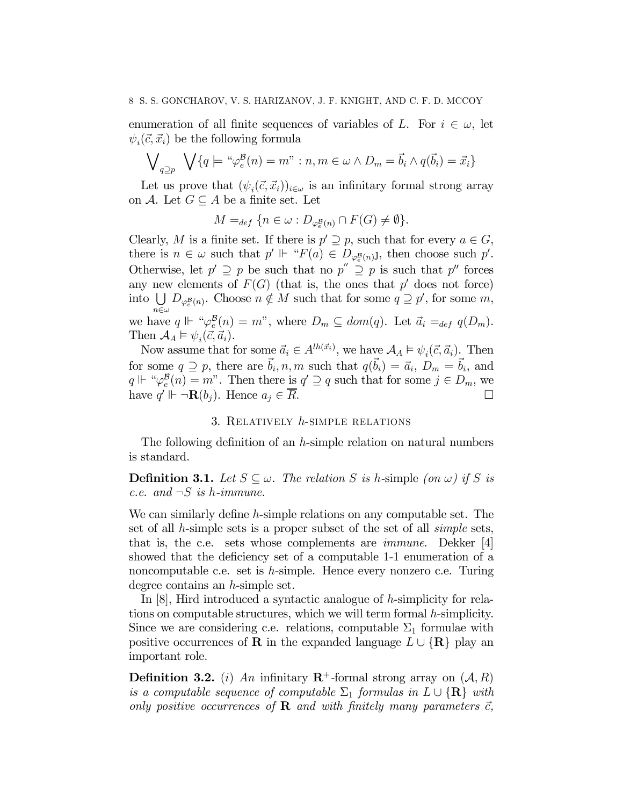### 8 S. S. GONCHAROV, V. S. HARIZANOV, J. F. KNIGHT, AND C. F. D. MCCOY

enumeration of all finite sequences of variables of L. For  $i \in \omega$ , let  $\psi_i(\vec{c}, \vec{x_i})$  be the following formula

$$
\bigvee_{q\supseteq p} \bigvee \{q \models \text{``}\varphi_e^{\mathcal{B}}(n) = m\text{''} : n, m \in \omega \land D_m = \vec{b}_i \land q(\vec{b}_i) = \vec{x}_i\}
$$

Let us prove that  $(\psi_i(\vec{c}, \vec{x}_i))_{i \in \omega}$  is an infinitary formal strong array on A. Let  $G \subseteq A$  be a finite set. Let

$$
M =_{def} \{ n \in \omega : D_{\varphi_e^B(n)} \cap F(G) \neq \emptyset \}.
$$

Clearly, M is a finite set. If there is  $p' \supseteq p$ , such that for every  $a \in G$ , there is  $n \in \omega$  such that  $p' \Vdash "F(a) \in D_{\varphi^{\mathcal{B}}_e(n)}$ , then choose such  $p'$ . Otherwise, let  $p' \supseteq p$  be such that no  $p'' \supseteq p$  is such that  $p''$  forces any new elements of  $F(G)$  (that is, the ones that p' does not force) into  $\bigcup_{\varphi_e^{\mathcal{B}}(n)} D_{\varphi_e^{\mathcal{B}}(n)}$ . Choose  $n \notin M$  such that for some  $q \supseteq p'$ , for some  $m$ ,  $n\in\omega$ we have  $q \Vdash \H \phi^{\mathcal{B}}_{\epsilon}(n) = m$ ", where  $D_m \subseteq dom(q)$ . Let  $\vec{a}_i =_{def} q(D_m)$ . Then  $\mathcal{A}_A \models \psi_i(\vec{c}, \vec{a}_i)$ .

Now assume that for some  $\vec{a}_i \in A^{lh(\vec{x}_i)}$ , we have  $\mathcal{A}_A \models \psi_i(\vec{c}, \vec{a}_i)$ . Then for some  $q \supseteq p$ , there are  $\vec{b}_i, n, m$  such that  $q(\vec{b}_i) = \vec{a}_i, D_m = \vec{b}_i$ , and  $q \Vdash \text{``}\varphi_e^{\mathcal{B}}(n) = m$ ". Then there is  $q' \supseteq q$  such that for some  $j \in D_m$ , we have  $q' \Vdash \neg \mathbf{R}(b_j)$ . Hence  $a_j \in \overline{R}$ .

# 3. Relatively h-simple relations

The following definition of an h-simple relation on natural numbers is standard.

**Definition 3.1.** Let  $S \subseteq \omega$ . The relation S is h-simple (on  $\omega$ ) if S is c.e. and  $\neg S$  is h-immune.

We can similarly define h-simple relations on any computable set. The set of all h-simple sets is a proper subset of the set of all simple sets, that is, the c.e. sets whose complements are immune. Dekker [4] showed that the deficiency set of a computable 1-1 enumeration of a noncomputable c.e. set is h-simple. Hence every nonzero c.e. Turing degree contains an h-simple set.

In [8], Hird introduced a syntactic analogue of h-simplicity for relations on computable structures, which we will term formal h-simplicity. Since we are considering c.e. relations, computable  $\Sigma_1$  formulae with positive occurrences of **R** in the expanded language  $L \cup {\bf R}$  play an important role.

**Definition 3.2.** (i) An infinitary  $\mathbb{R}^+$ -formal strong array on  $(A, R)$ is a computable sequence of computable  $\Sigma_1$  formulas in  $L \cup \{R\}$  with only positive occurrences of **R** and with finitely many parameters  $\vec{c}$ ,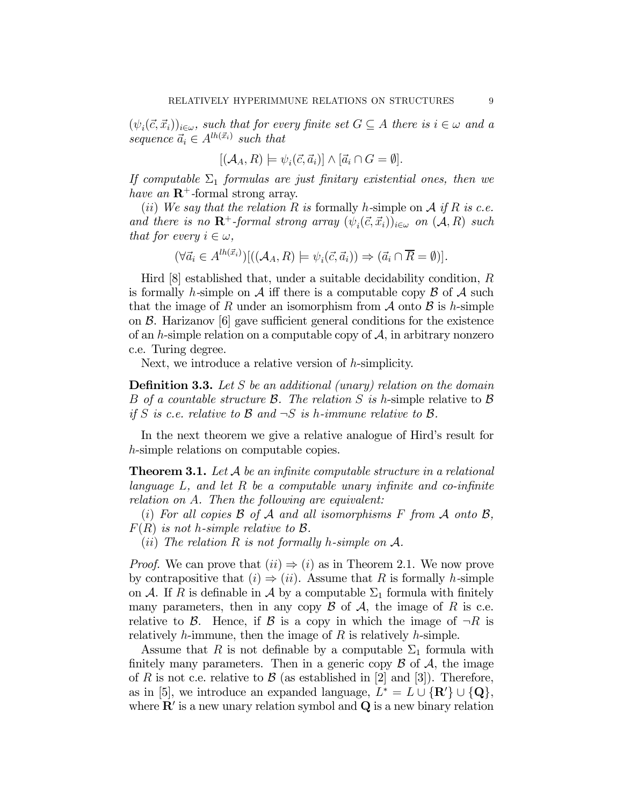$(\psi_i(\vec{c}, \vec{x}_i))_{i \in \omega}$ , such that for every finite set  $G \subseteq A$  there is  $i \in \omega$  and a sequence  $\vec{a}_i \in A^{lh(\vec{x}_i)}$  such that

$$
[(\mathcal{A}_A, R) \models \psi_i(\vec{c}, \vec{a}_i)] \wedge [\vec{a}_i \cap G = \emptyset].
$$

If computable  $\Sigma_1$  formulas are just finitary existential ones, then we have an  $\mathbb{R}^+$ -formal strong array.

(ii) We say that the relation R is formally h-simple on A if R is c.e. and there is no  $\mathbb{R}^+$ -formal strong array  $(\psi_i(\vec{c}, \vec{x}_i))_{i \in \omega}$  on  $(\mathcal{A}, R)$  such that for every  $i \in \omega$ ,

$$
(\forall \vec{a}_i \in A^{lh(\vec{x}_i)}) [((\mathcal{A}_A, R) \models \psi_i(\vec{c}, \vec{a}_i)) \Rightarrow (\vec{a}_i \cap \overline{R} = \emptyset)].
$$

Hird  $[8]$  established that, under a suitable decidability condition, R is formally h-simple on  $\mathcal A$  iff there is a computable copy  $\mathcal B$  of  $\mathcal A$  such that the image of R under an isomorphism from  $\mathcal A$  onto  $\mathcal B$  is h-simple on  $\beta$ . Harizanov [6] gave sufficient general conditions for the existence of an h-simple relation on a computable copy of  $A$ , in arbitrary nonzero c.e. Turing degree.

Next, we introduce a relative version of h-simplicity.

**Definition 3.3.** Let  $S$  be an additional (unary) relation on the domain B of a countable structure B. The relation S is h-simple relative to B if S is c.e. relative to B and  $\neg S$  is h-immune relative to B.

In the next theorem we give a relative analogue of Hird's result for h-simple relations on computable copies.

**Theorem 3.1.** Let  $\mathcal A$  be an infinite computable structure in a relational language  $L$ , and let  $R$  be a computable unary infinite and co-infinite relation on A. Then the following are equivalent:

(i) For all copies  $\beta$  of  $\mathcal A$  and all isomorphisms  $F$  from  $\mathcal A$  onto  $\mathcal B$ ,  $F(R)$  is not h-simple relative to  $\mathcal{B}$ .

(*ii*) The relation R is not formally h-simple on  $A$ .

*Proof.* We can prove that  $(ii) \Rightarrow (i)$  as in Theorem 2.1. We now prove by contrapositive that  $(i) \Rightarrow (ii)$ . Assume that R is formally h-simple on A. If R is definable in A by a computable  $\Sigma_1$  formula with finitely many parameters, then in any copy  $\beta$  of  $\mathcal{A}$ , the image of R is c.e. relative to B. Hence, if B is a copy in which the image of  $\neg R$  is relatively  $h$ -immune, then the image of  $R$  is relatively  $h$ -simple.

Assume that R is not definable by a computable  $\Sigma_1$  formula with finitely many parameters. Then in a generic copy  $\beta$  of  $\mathcal{A}$ , the image of R is not c.e. relative to B (as established in [2] and [3]). Therefore, as in [5], we introduce an expanded language,  $L^* = L \cup {\mathbf{R'}} \cup {\mathbf{Q}}$ , where  $\mathbf{R}'$  is a new unary relation symbol and  $\mathbf{Q}$  is a new binary relation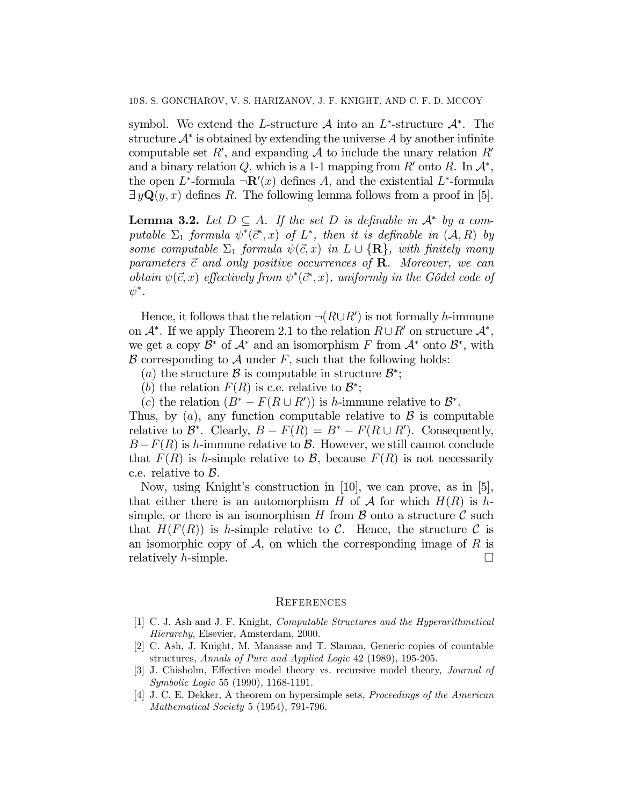symbol. We extend the L-structure  $\mathcal A$  into an L<sup>\*</sup>-structure  $\mathcal A^*$ . The structure  $\mathcal{A}^*$  is obtained by extending the universe A by another infinite computable set  $R'$ , and expanding  $A$  to include the unary relation  $R'$ and a binary relation Q, which is a 1-1 mapping from  $R'$  onto R. In  $\mathcal{A}^*$ , the open  $L^*$ -formula  $\neg \mathbf{R}'(x)$  defines A, and the existential  $L^*$ -formula  $\exists y \mathbf{Q}(y, x)$  defines R. The following lemma follows from a proof in [5].

**Lemma 3.2.** Let  $D \subseteq A$ . If the set D is definable in  $\mathcal{A}^*$  by a computable  $\Sigma_1$  formula  $\psi^*(\vec{c}^*,x)$  of  $L^*$ , then it is definable in  $(\mathcal{A}, R)$  by some computable  $\Sigma_1$  formula  $\psi(\vec{c},x)$  in  $L \cup {\bf R}$ , with finitely many parameters  $\vec{c}$  and only positive occurrences of **R**. Moreover, we can obtain  $\psi(\vec{c},x)$  effectively from  $\psi^*(\vec{c}^*,x)$ , uniformly in the Godel code of  $\psi^*$  .

Hence, it follows that the relation  $\neg(R\cup R')$  is not formally h-immune on  $\mathcal{A}^*$ . If we apply Theorem 2.1 to the relation  $R\cup R'$  on structure  $\mathcal{A}^*$ , we get a copy  $\mathcal{B}^*$  of  $\mathcal{A}^*$  and an isomorphism F from  $\mathcal{A}^*$  onto  $\mathcal{B}^*$ , with  $\mathcal B$  corresponding to  $\mathcal A$  under  $F$ , such that the following holds:

- (a) the structure B is computable in structure  $\mathcal{B}^*$ ;
- (b) the relation  $F(R)$  is c.e. relative to  $\mathcal{B}^*$ ;
- (c) the relation  $(B^* F(R \cup R'))$  is h-immune relative to  $B^*$ .

Thus, by  $(a)$ , any function computable relative to  $\beta$  is computable relative to  $\mathcal{B}^*$ . Clearly,  $B - F(R) = B^* - F(R \cup R')$ . Consequently,  $B-F(R)$  is h-immune relative to B. However, we still cannot conclude that  $F(R)$  is h-simple relative to B, because  $F(R)$  is not necessarily c.e. relative to B.

Now, using Knight's construction in [10], we can prove, as in [5], that either there is an automorphism H of A for which  $H(R)$  is hsimple, or there is an isomorphism  $H$  from  $\beta$  onto a structure  $\beta$  such that  $H(F(R))$  is h-simple relative to C. Hence, the structure C is an isomorphic copy of  $\mathcal{A}$ , on which the corresponding image of  $R$  is relatively *h*-simple. relatively  $h$ -simple.

#### **REFERENCES**

- [1] C. J. Ash and J. F. Knight, Computable Structures and the Hyperarithmetical Hierarchy, Elsevier, Amsterdam, 2000.
- [2] C. Ash, J. Knight, M. Manasse and T. Slaman, Generic copies of countable structures, Annals of Pure and Applied Logic 42 (1989), 195-205.
- [3] J. Chisholm, Effective model theory vs. recursive model theory, Journal of Symbolic Logic 55 (1990), 1168-1191.
- [4] J. C. E. Dekker, A theorem on hypersimple sets, Proceedings of the American Mathematical Society 5 (1954), 791-796.